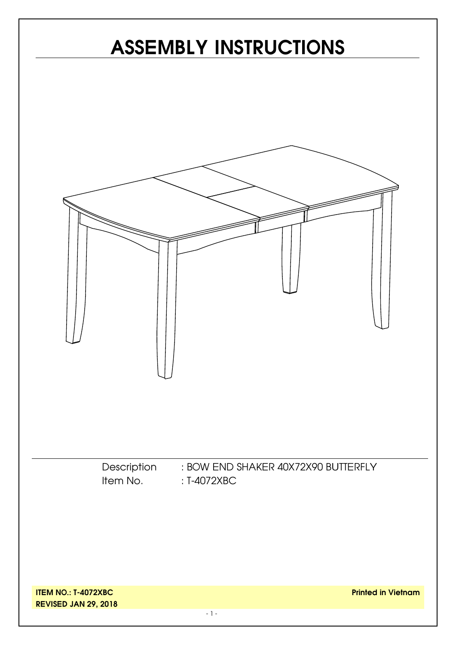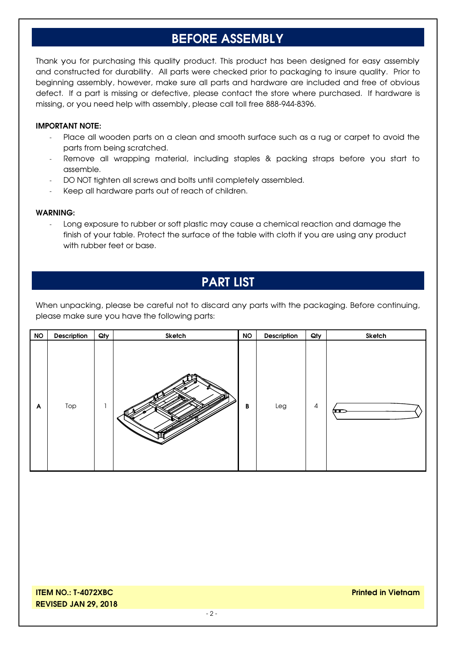## **BEFORE ASSEMBLY**

Thank you for purchasing this quality product. This product has been designed for easy assembly and constructed for durability. All parts were checked prior to packaging to insure quality. Prior to beginning assembly, however, make sure all parts and hardware are included and free of obvious defect. If a part is missing or defective, please contact the store where purchased. If hardware is missing, or you need help with assembly, please call toll free 888-944-8396.

#### **IMPORTANT NOTE:**

- Place all wooden parts on a clean and smooth surface such as a rug or carpet to avoid the parts from being scratched.
- Remove all wrapping material, including staples & packing straps before you start to assemble.
- DO NOT tighten all screws and bolts until completely assembled.
- Keep all hardware parts out of reach of children.

#### **WARNING:**

Long exposure to rubber or soft plastic may cause a chemical reaction and damage the finish of your table. Protect the surface of the table with cloth if you are using any product with rubber feet or base.

#### **PART LIST**

When unpacking, please be careful not to discard any parts with the packaging. Before continuing, please make sure you have the following parts:

| <b>NO</b> | Description | Qty | Sketch | <b>NO</b> | Description | Qty            | Sketch               |
|-----------|-------------|-----|--------|-----------|-------------|----------------|----------------------|
| A         | Top         |     |        | В         | Leg         | $\overline{4}$ | $\overline{\bullet}$ |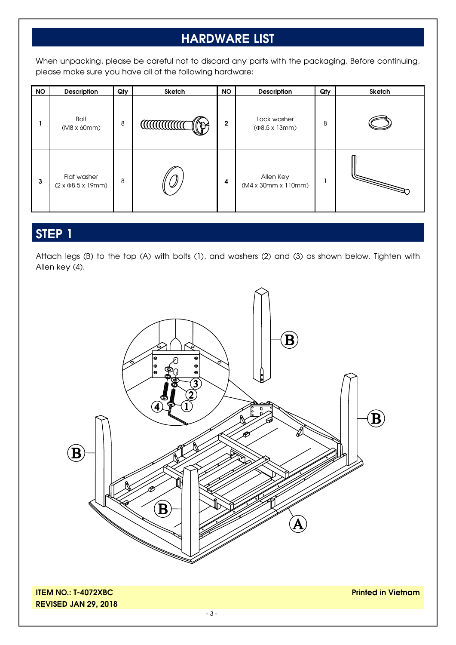## **HARDWARE LIST**

When unpacking, please be careful not to discard any parts with the packaging. Before continuing, please make sure you have all of the following hardware:

| <b>NO</b> | <b>Description</b>                               | Qty | Sketch           | <b>NO</b>      | Description                                 | Qty | <b>Sketch</b> |
|-----------|--------------------------------------------------|-----|------------------|----------------|---------------------------------------------|-----|---------------|
|           | Bolt<br>$(M8 \times 60 \text{mm})$               | 8   | <b>CONTINUES</b> | $\overline{2}$ | Lock washer<br>$(48.5 \times 13 \text{mm})$ | 8   |               |
| 3         | Flat washer<br>$(2 \times \Phi8.5 \times 19$ mm) | 8   |                  | 4              | Allen Key<br>(M4 x 30mm x 110mm)            |     |               |

## **STEP 1**

Attach legs (B) to the top (A) with bolts (1), and washers (2) and (3) as shown below. Tighten with Allen key (4).



**ITEM NO.: T-4072XBC REVISED JAN 29, 2018** **Printed in Vietnam**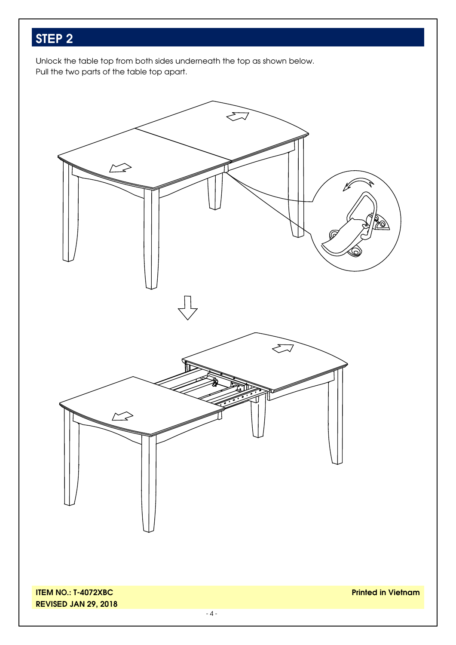# **STEP 2**

Unlock the table top from both sides underneath the top as shown below. Pull the two parts of the table top apart.

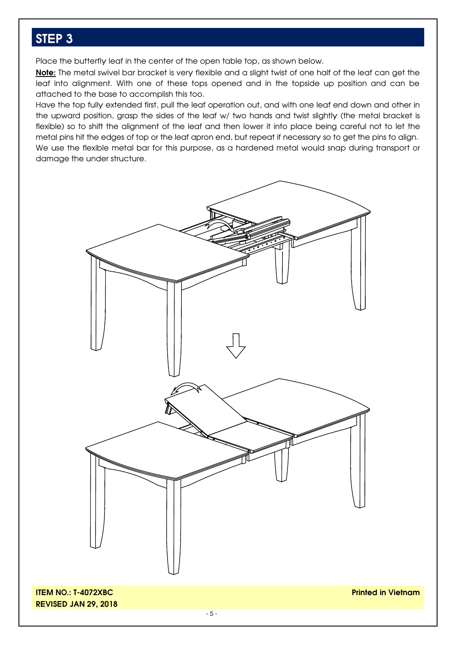### **STEP 3**

Place the butterfly leaf in the center of the open table top, as shown below.

**Note:** The metal swivel bar bracket is very flexible and a slight twist of one half of the leaf can get the leaf into alignment. With one of these tops opened and in the topside up position and can be attached to the base to accomplish this too.

Have the top fully extended first, pull the leaf operation out, and with one leaf end down and other in the upward position, grasp the sides of the leaf w/ two hands and twist slightly (the metal bracket is flexible) so to shift the alignment of the leaf and then lower it into place being careful not to let the metal pins hit the edges of top or the leaf apron end, but repeat if necessary so to get the pins to align. We use the flexible metal bar for this purpose, as a hardened metal would snap during transport or damage the under structure.